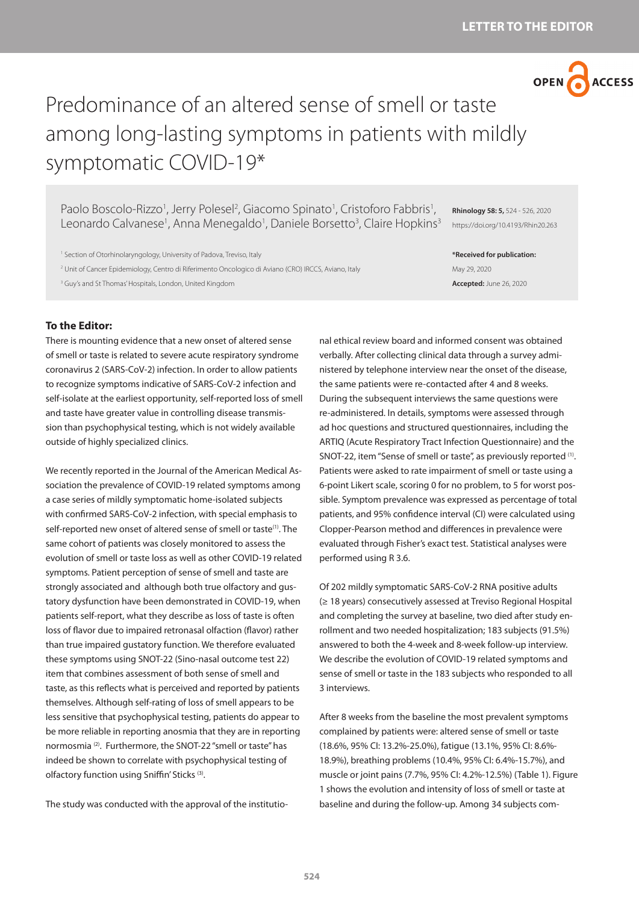

# Predominance of an altered sense of smell or taste among long-lasting symptoms in patients with mildly symptomatic COVID-19\*

Paolo Boscolo-Rizzo<sup>1</sup>, Jerry Polesel<sup>2</sup>, Giacomo Spinato<sup>1</sup>, Cristoforo Fabbris<sup>1</sup>, Leonardo Calvanese<sup>1</sup>, Anna Menegaldo<sup>1</sup>, Daniele Borsetto<sup>3</sup>, Claire Hopkins<sup>3</sup>

<sup>1</sup> Section of Otorhinolaryngology, University of Padova, Treviso, Italy 2 Unit of Cancer Epidemiology, Centro di Riferimento Oncologico di Aviano (CRO) IRCCS, Aviano, Italy 3 Guy's and St Thomas' Hospitals, London, United Kingdom

**Rhinology 58: 5,** 524 - 526, 2020 https://doi.org/10.4193/Rhin20.263

**\*Received for publication:** May 29, 2020 **Accepted:** June 26, 2020

## **To the Editor:**

There is mounting evidence that a new onset of altered sense of smell or taste is related to severe acute respiratory syndrome coronavirus 2 (SARS-CoV-2) infection. In order to allow patients to recognize symptoms indicative of SARS-CoV-2 infection and self-isolate at the earliest opportunity, self-reported loss of smell and taste have greater value in controlling disease transmission than psychophysical testing, which is not widely available outside of highly specialized clinics.

We recently reported in the Journal of the American Medical Association the prevalence of COVID-19 related symptoms among a case series of mildly symptomatic home-isolated subjects with confirmed SARS-CoV-2 infection, with special emphasis to self-reported new onset of altered sense of smell or taste<sup>(1)</sup>. The same cohort of patients was closely monitored to assess the evolution of smell or taste loss as well as other COVID-19 related symptoms. Patient perception of sense of smell and taste are strongly associated and although both true olfactory and gustatory dysfunction have been demonstrated in COVID-19, when patients self-report, what they describe as loss of taste is often loss of flavor due to impaired retronasal olfaction (flavor) rather than true impaired gustatory function. We therefore evaluated these symptoms using SNOT-22 (Sino-nasal outcome test 22) item that combines assessment of both sense of smell and taste, as this reflects what is perceived and reported by patients themselves. Although self-rating of loss of smell appears to be less sensitive that psychophysical testing, patients do appear to be more reliable in reporting anosmia that they are in reporting normosmia (2). Furthermore, the SNOT-22 "smell or taste" has indeed be shown to correlate with psychophysical testing of olfactory function using Sniffin' Sticks (3).

The study was conducted with the approval of the institutio-

nal ethical review board and informed consent was obtained verbally. After collecting clinical data through a survey administered by telephone interview near the onset of the disease, the same patients were re-contacted after 4 and 8 weeks. During the subsequent interviews the same questions were re-administered. In details, symptoms were assessed through ad hoc questions and structured questionnaires, including the ARTIQ (Acute Respiratory Tract Infection Questionnaire) and the SNOT-22, item "Sense of smell or taste", as previously reported (1). Patients were asked to rate impairment of smell or taste using a 6-point Likert scale, scoring 0 for no problem, to 5 for worst possible. Symptom prevalence was expressed as percentage of total patients, and 95% confidence interval (CI) were calculated using Clopper-Pearson method and differences in prevalence were evaluated through Fisher's exact test. Statistical analyses were performed using R 3.6.

Of 202 mildly symptomatic SARS-CoV-2 RNA positive adults (≥ 18 years) consecutively assessed at Treviso Regional Hospital and completing the survey at baseline, two died after study enrollment and two needed hospitalization; 183 subjects (91.5%) answered to both the 4-week and 8-week follow-up interview. We describe the evolution of COVID-19 related symptoms and sense of smell or taste in the 183 subjects who responded to all 3 interviews.

After 8 weeks from the baseline the most prevalent symptoms complained by patients were: altered sense of smell or taste (18.6%, 95% CI: 13.2%-25.0%), fatigue (13.1%, 95% CI: 8.6%- 18.9%), breathing problems (10.4%, 95% CI: 6.4%-15.7%), and muscle or joint pains (7.7%, 95% CI: 4.2%-12.5%) (Table 1). Figure 1 shows the evolution and intensity of loss of smell or taste at baseline and during the follow-up. Among 34 subjects com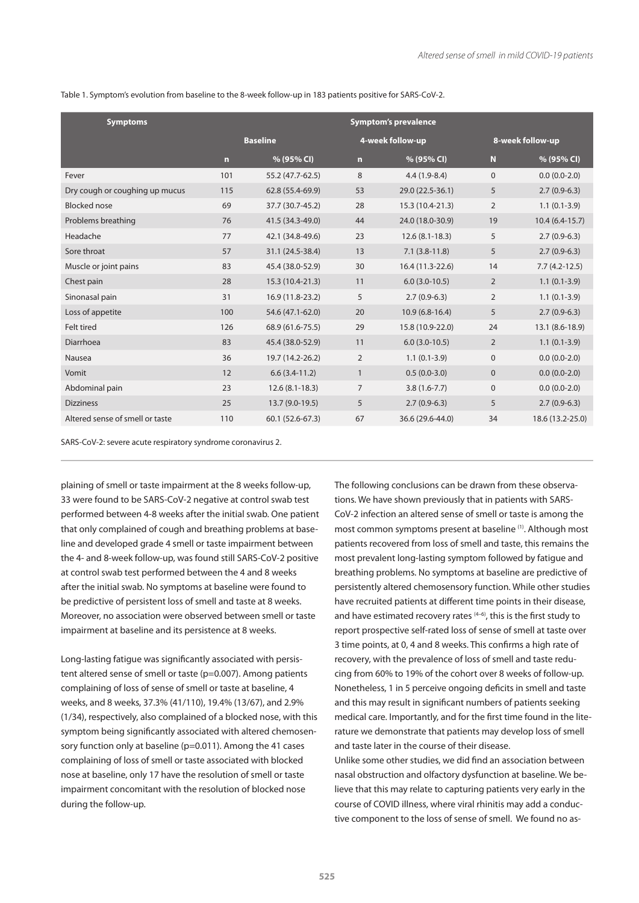Table 1. Symptom's evolution from baseline to the 8-week follow-up in 183 patients positive for SARS-CoV-2.

| <b>Symptoms</b>                 | <b>Symptom's prevalence</b> |                  |                  |                  |                  |                  |
|---------------------------------|-----------------------------|------------------|------------------|------------------|------------------|------------------|
|                                 | <b>Baseline</b>             |                  | 4-week follow-up |                  | 8-week follow-up |                  |
|                                 | $\overline{ }$              | % (95% CI)       | $\mathbf n$      | % (95% CI)       | N                | % (95% CI)       |
| Fever                           | 101                         | 55.2 (47.7-62.5) | 8                | $4.4(1.9-8.4)$   | $\Omega$         | $0.0(0.0-2.0)$   |
| Dry cough or coughing up mucus  | 115                         | 62.8 (55.4-69.9) | 53               | 29.0 (22.5-36.1) | 5                | $2.7(0.9-6.3)$   |
| <b>Blocked</b> nose             | 69                          | 37.7 (30.7-45.2) | 28               | 15.3 (10.4-21.3) | $\overline{2}$   | $1.1(0.1-3.9)$   |
| Problems breathing              | 76                          | 41.5 (34.3-49.0) | 44               | 24.0 (18.0-30.9) | 19               | $10.4(6.4-15.7)$ |
| Headache                        | 77                          | 42.1 (34.8-49.6) | 23               | $12.6(8.1-18.3)$ | 5                | $2.7(0.9-6.3)$   |
| Sore throat                     | 57                          | 31.1 (24.5-38.4) | 13               | $7.1(3.8-11.8)$  | 5                | $2.7(0.9-6.3)$   |
| Muscle or joint pains           | 83                          | 45.4 (38.0-52.9) | 30               | 16.4 (11.3-22.6) | 14               | $7.7(4.2-12.5)$  |
| Chest pain                      | 28                          | 15.3 (10.4-21.3) | 11               | $6.0(3.0-10.5)$  | 2                | $1.1(0.1-3.9)$   |
| Sinonasal pain                  | 31                          | 16.9 (11.8-23.2) | 5                | $2.7(0.9-6.3)$   | $\overline{2}$   | $1.1(0.1-3.9)$   |
| Loss of appetite                | 100                         | 54.6 (47.1-62.0) | 20               | $10.9(6.8-16.4)$ | 5                | $2.7(0.9-6.3)$   |
| Felt tired                      | 126                         | 68.9 (61.6-75.5) | 29               | 15.8 (10.9-22.0) | 24               | 13.1 (8.6-18.9)  |
| Diarrhoea                       | 83                          | 45.4 (38.0-52.9) | 11               | $6.0(3.0-10.5)$  | $\overline{2}$   | $1.1(0.1-3.9)$   |
| Nausea                          | 36                          | 19.7 (14.2-26.2) | $\overline{2}$   | $1.1(0.1-3.9)$   | $\mathbf{0}$     | $0.0(0.0-2.0)$   |
| Vomit                           | 12                          | $6.6(3.4-11.2)$  | $\mathbf{1}$     | $0.5(0.0-3.0)$   | $\mathbf{0}$     | $0.0(0.0-2.0)$   |
| Abdominal pain                  | 23                          | $12.6(8.1-18.3)$ | $\overline{7}$   | $3.8(1.6 - 7.7)$ | $\mathbf 0$      | $0.0(0.0-2.0)$   |
| <b>Dizziness</b>                | 25                          | 13.7 (9.0-19.5)  | 5                | $2.7(0.9-6.3)$   | 5                | $2.7(0.9-6.3)$   |
| Altered sense of smell or taste | 110                         | 60.1 (52.6-67.3) | 67               | 36.6 (29.6-44.0) | 34               | 18.6 (13.2-25.0) |

SARS-CoV-2: severe acute respiratory syndrome coronavirus 2.

plaining of smell or taste impairment at the 8 weeks follow-up, 33 were found to be SARS-CoV-2 negative at control swab test performed between 4-8 weeks after the initial swab. One patient that only complained of cough and breathing problems at baseline and developed grade 4 smell or taste impairment between the 4- and 8-week follow-up, was found still SARS-CoV-2 positive at control swab test performed between the 4 and 8 weeks after the initial swab. No symptoms at baseline were found to be predictive of persistent loss of smell and taste at 8 weeks. Moreover, no association were observed between smell or taste impairment at baseline and its persistence at 8 weeks.

Long-lasting fatigue was significantly associated with persistent altered sense of smell or taste (p=0.007). Among patients complaining of loss of sense of smell or taste at baseline, 4 weeks, and 8 weeks, 37.3% (41/110), 19.4% (13/67), and 2.9% (1/34), respectively, also complained of a blocked nose, with this symptom being significantly associated with altered chemosensory function only at baseline (p=0.011). Among the 41 cases complaining of loss of smell or taste associated with blocked nose at baseline, only 17 have the resolution of smell or taste impairment concomitant with the resolution of blocked nose during the follow-up.

The following conclusions can be drawn from these observations. We have shown previously that in patients with SARS-CoV-2 infection an altered sense of smell or taste is among the most common symptoms present at baseline (1). Although most patients recovered from loss of smell and taste, this remains the most prevalent long-lasting symptom followed by fatigue and breathing problems. No symptoms at baseline are predictive of persistently altered chemosensory function. While other studies have recruited patients at different time points in their disease, and have estimated recovery rates  $(4-6)$ , this is the first study to report prospective self-rated loss of sense of smell at taste over 3 time points, at 0, 4 and 8 weeks. This confirms a high rate of recovery, with the prevalence of loss of smell and taste reducing from 60% to 19% of the cohort over 8 weeks of follow-up. Nonetheless, 1 in 5 perceive ongoing deficits in smell and taste and this may result in significant numbers of patients seeking medical care. Importantly, and for the first time found in the literature we demonstrate that patients may develop loss of smell and taste later in the course of their disease.

Unlike some other studies, we did find an association between nasal obstruction and olfactory dysfunction at baseline. We believe that this may relate to capturing patients very early in the course of COVID illness, where viral rhinitis may add a conductive component to the loss of sense of smell. We found no as-